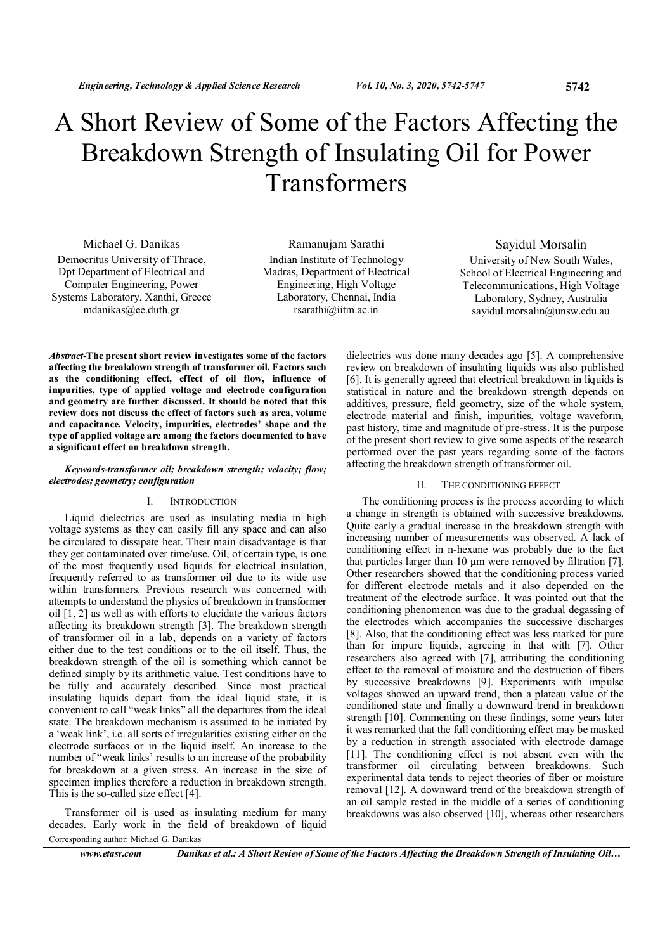# A Short Review of Some of the Factors Affecting the Breakdown Strength of Insulating Oil for Power Transformers

Michael G. Danikas Democritus University of Thrace, Dpt Department of Electrical and Computer Engineering, Power Systems Laboratory, Xanthi, Greece mdanikas@ee.duth.gr

Ramanujam Sarathi Indian Institute of Technology Madras, Department of Electrical Engineering, High Voltage Laboratory, Chennai, India rsarathi@iitm.ac.in

## Sayidul Morsalin University of New South Wales, School of Electrical Engineering and Telecommunications, High Voltage Laboratory, Sydney, Australia sayidul.morsalin@unsw.edu.au

Abstract-The present short review investigates some of the factors affecting the breakdown strength of transformer oil. Factors such as the conditioning effect, effect of oil flow, influence of impurities, type of applied voltage and electrode configuration and geometry are further discussed. It should be noted that this review does not discuss the effect of factors such as area, volume and capacitance. Velocity, impurities, electrodes' shape and the type of applied voltage are among the factors documented to have a significant effect on breakdown strength.

## Keywords-transformer oil; breakdown strength; velocity; flow; electrodes; geometry; configuration

## I. INTRODUCTION

Liquid dielectrics are used as insulating media in high voltage systems as they can easily fill any space and can also be circulated to dissipate heat. Their main disadvantage is that they get contaminated over time/use. Oil, of certain type, is one of the most frequently used liquids for electrical insulation, frequently referred to as transformer oil due to its wide use within transformers. Previous research was concerned with attempts to understand the physics of breakdown in transformer oil [1, 2] as well as with efforts to elucidate the various factors affecting its breakdown strength [3]. The breakdown strength of transformer oil in a lab, depends on a variety of factors either due to the test conditions or to the oil itself. Thus, the breakdown strength of the oil is something which cannot be defined simply by its arithmetic value. Test conditions have to be fully and accurately described. Since most practical insulating liquids depart from the ideal liquid state, it is convenient to call "weak links" all the departures from the ideal state. The breakdown mechanism is assumed to be initiated by a 'weak link', i.e. all sorts of irregularities existing either on the electrode surfaces or in the liquid itself. An increase to the number of "weak links' results to an increase of the probability for breakdown at a given stress. An increase in the size of specimen implies therefore a reduction in breakdown strength. This is the so-called size effect [4].

Transformer oil is used as insulating medium for many decades. Early work in the field of breakdown of liquid Corresponding author: Michael G. Danikas

dielectrics was done many decades ago [5]. A comprehensive review on breakdown of insulating liquids was also published [6]. It is generally agreed that electrical breakdown in liquids is statistical in nature and the breakdown strength depends on additives, pressure, field geometry, size of the whole system, electrode material and finish, impurities, voltage waveform, past history, time and magnitude of pre-stress. It is the purpose of the present short review to give some aspects of the research performed over the past years regarding some of the factors affecting the breakdown strength of transformer oil.

## II. THE CONDITIONING EFFECT

The conditioning process is the process according to which a change in strength is obtained with successive breakdowns. Quite early a gradual increase in the breakdown strength with increasing number of measurements was observed. A lack of conditioning effect in n-hexane was probably due to the fact that particles larger than 10 µm were removed by filtration [7]. Other researchers showed that the conditioning process varied for different electrode metals and it also depended on the treatment of the electrode surface. It was pointed out that the conditioning phenomenon was due to the gradual degassing of the electrodes which accompanies the successive discharges [8]. Also, that the conditioning effect was less marked for pure than for impure liquids, agreeing in that with [7]. Other researchers also agreed with [7], attributing the conditioning effect to the removal of moisture and the destruction of fibers by successive breakdowns [9]. Experiments with impulse voltages showed an upward trend, then a plateau value of the conditioned state and finally a downward trend in breakdown strength [10]. Commenting on these findings, some years later it was remarked that the full conditioning effect may be masked by a reduction in strength associated with electrode damage [11]. The conditioning effect is not absent even with the transformer oil circulating between breakdowns. Such experimental data tends to reject theories of fiber or moisture removal [12]. A downward trend of the breakdown strength of an oil sample rested in the middle of a series of conditioning breakdowns was also observed [10], whereas other researchers

www.etasr.com Danikas et al.: A Short Review of Some of the Factors Affecting the Breakdown Strength of Insulating Oil...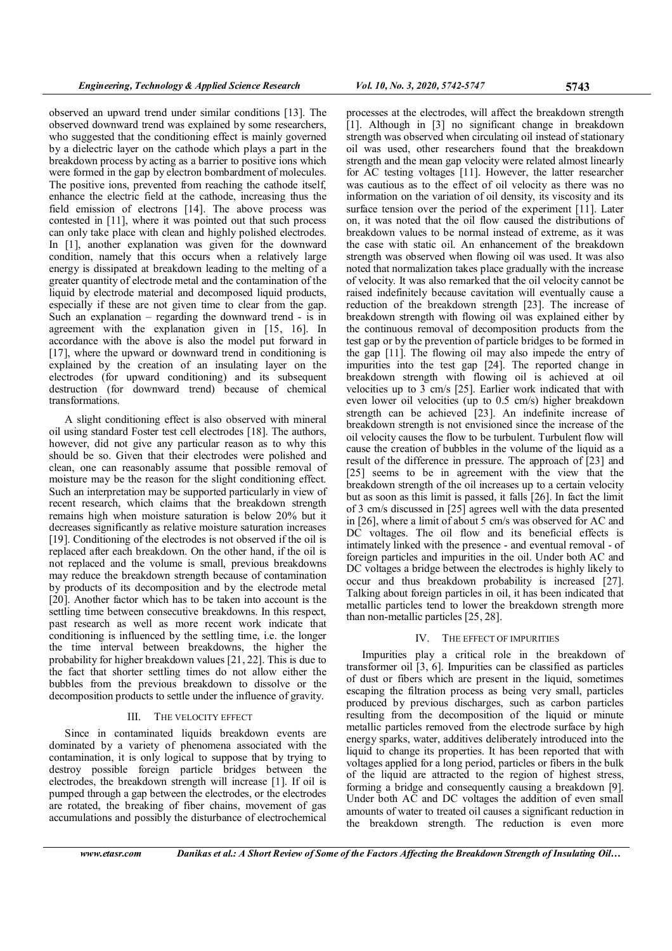observed an upward trend under similar conditions [13]. The observed downward trend was explained by some researchers, who suggested that the conditioning effect is mainly governed by a dielectric layer on the cathode which plays a part in the breakdown process by acting as a barrier to positive ions which were formed in the gap by electron bombardment of molecules. The positive ions, prevented from reaching the cathode itself, enhance the electric field at the cathode, increasing thus the field emission of electrons [14]. The above process was contested in [11], where it was pointed out that such process can only take place with clean and highly polished electrodes. In [1], another explanation was given for the downward condition, namely that this occurs when a relatively large energy is dissipated at breakdown leading to the melting of a greater quantity of electrode metal and the contamination of the liquid by electrode material and decomposed liquid products, especially if these are not given time to clear from the gap. Such an explanation – regarding the downward trend - is in agreement with the explanation given in [15, 16]. In accordance with the above is also the model put forward in [17], where the upward or downward trend in conditioning is explained by the creation of an insulating layer on the electrodes (for upward conditioning) and its subsequent destruction (for downward trend) because of chemical transformations.

A slight conditioning effect is also observed with mineral oil using standard Foster test cell electrodes [18]. The authors, however, did not give any particular reason as to why this should be so. Given that their electrodes were polished and clean, one can reasonably assume that possible removal of moisture may be the reason for the slight conditioning effect. Such an interpretation may be supported particularly in view of recent research, which claims that the breakdown strength remains high when moisture saturation is below 20% but it decreases significantly as relative moisture saturation increases [19]. Conditioning of the electrodes is not observed if the oil is replaced after each breakdown. On the other hand, if the oil is not replaced and the volume is small, previous breakdowns may reduce the breakdown strength because of contamination by products of its decomposition and by the electrode metal [20]. Another factor which has to be taken into account is the settling time between consecutive breakdowns. In this respect, past research as well as more recent work indicate that conditioning is influenced by the settling time, i.e. the longer the time interval between breakdowns, the higher the probability for higher breakdown values [21, 22]. This is due to the fact that shorter settling times do not allow either the bubbles from the previous breakdown to dissolve or the decomposition products to settle under the influence of gravity.

#### III. THE VELOCITY EFFECT

Since in contaminated liquids breakdown events are dominated by a variety of phenomena associated with the contamination, it is only logical to suppose that by trying to destroy possible foreign particle bridges between the electrodes, the breakdown strength will increase [1]. If oil is pumped through a gap between the electrodes, or the electrodes are rotated, the breaking of fiber chains, movement of gas accumulations and possibly the disturbance of electrochemical

processes at the electrodes, will affect the breakdown strength [1]. Although in [3] no significant change in breakdown strength was observed when circulating oil instead of stationary oil was used, other researchers found that the breakdown strength and the mean gap velocity were related almost linearly for AC testing voltages [11]. However, the latter researcher was cautious as to the effect of oil velocity as there was no information on the variation of oil density, its viscosity and its surface tension over the period of the experiment [11]. Later on, it was noted that the oil flow caused the distributions of breakdown values to be normal instead of extreme, as it was the case with static oil. An enhancement of the breakdown strength was observed when flowing oil was used. It was also noted that normalization takes place gradually with the increase of velocity. It was also remarked that the oil velocity cannot be raised indefinitely because cavitation will eventually cause a reduction of the breakdown strength [23]. The increase of breakdown strength with flowing oil was explained either by the continuous removal of decomposition products from the test gap or by the prevention of particle bridges to be formed in the gap [11]. The flowing oil may also impede the entry of impurities into the test gap [24]. The reported change in breakdown strength with flowing oil is achieved at oil velocities up to 3 cm/s [25]. Earlier work indicated that with even lower oil velocities (up to 0.5 cm/s) higher breakdown strength can be achieved [23]. An indefinite increase of breakdown strength is not envisioned since the increase of the oil velocity causes the flow to be turbulent. Turbulent flow will cause the creation of bubbles in the volume of the liquid as a result of the difference in pressure. The approach of [23] and [25] seems to be in agreement with the view that the breakdown strength of the oil increases up to a certain velocity but as soon as this limit is passed, it falls [26]. In fact the limit of 3 cm/s discussed in [25] agrees well with the data presented in [26], where a limit of about 5 cm/s was observed for AC and DC voltages. The oil flow and its beneficial effects is intimately linked with the presence - and eventual removal - of foreign particles and impurities in the oil. Under both AC and DC voltages a bridge between the electrodes is highly likely to occur and thus breakdown probability is increased [27]. Talking about foreign particles in oil, it has been indicated that metallic particles tend to lower the breakdown strength more than non-metallic particles [25, 28].

#### IV. THE EFFECT OF IMPURITIES

Impurities play a critical role in the breakdown of transformer oil [3, 6]. Impurities can be classified as particles of dust or fibers which are present in the liquid, sometimes escaping the filtration process as being very small, particles produced by previous discharges, such as carbon particles resulting from the decomposition of the liquid or minute metallic particles removed from the electrode surface by high energy sparks, water, additives deliberately introduced into the liquid to change its properties. It has been reported that with voltages applied for a long period, particles or fibers in the bulk of the liquid are attracted to the region of highest stress, forming a bridge and consequently causing a breakdown [9]. Under both AC and DC voltages the addition of even small amounts of water to treated oil causes a significant reduction in the breakdown strength. The reduction is even more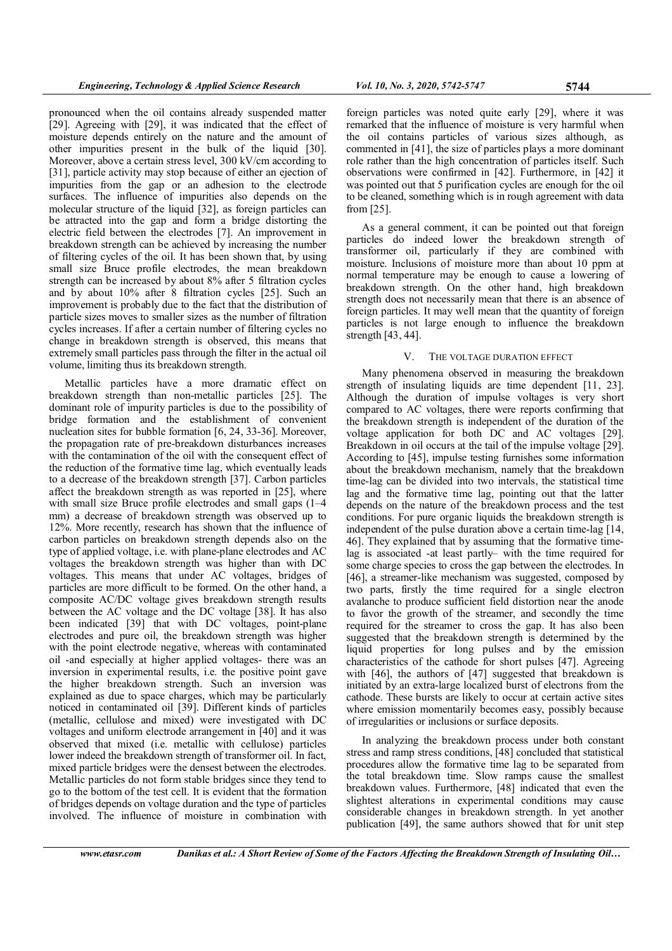pronounced when the oil contains already suspended matter [29]. Agreeing with [29], it was indicated that the effect of moisture depends entirely on the nature and the amount of other impurities present in the bulk of the liquid [30]. Moreover, above a certain stress level, 300 kV/cm according to [31], particle activity may stop because of either an ejection of impurities from the gap or an adhesion to the electrode surfaces. The influence of impurities also depends on the molecular structure of the liquid [32], as foreign particles can be attracted into the gap and form a bridge distorting the electric field between the electrodes [7]. An improvement in breakdown strength can be achieved by increasing the number of filtering cycles of the oil. It has been shown that, by using small size Bruce profile electrodes, the mean breakdown strength can be increased by about 8% after 5 filtration cycles and by about 10% after 8 filtration cycles [25]. Such an improvement is probably due to the fact that the distribution of particle sizes moves to smaller sizes as the number of filtration cycles increases. If after a certain number of filtering cycles no change in breakdown strength is observed, this means that extremely small particles pass through the filter in the actual oil volume, limiting thus its breakdown strength.

Metallic particles have a more dramatic effect on breakdown strength than non-metallic particles [25]. The dominant role of impurity particles is due to the possibility of bridge formation and the establishment of convenient nucleation sites for bubble formation [6, 24, 33-36]. Moreover, the propagation rate of pre-breakdown disturbances increases with the contamination of the oil with the consequent effect of the reduction of the formative time lag, which eventually leads to a decrease of the breakdown strength [37]. Carbon particles affect the breakdown strength as was reported in [25], where with small size Bruce profile electrodes and small gaps (1–4 mm) a decrease of breakdown strength was observed up to 12%. More recently, research has shown that the influence of carbon particles on breakdown strength depends also on the type of applied voltage, i.e. with plane-plane electrodes and AC voltages the breakdown strength was higher than with DC voltages. This means that under AC voltages, bridges of particles are more difficult to be formed. On the other hand, a composite AC/DC voltage gives breakdown strength results between the AC voltage and the DC voltage [38]. It has also been indicated [39] that with DC voltages, point-plane electrodes and pure oil, the breakdown strength was higher with the point electrode negative, whereas with contaminated oil -and especially at higher applied voltages- there was an inversion in experimental results, i.e. the positive point gave the higher breakdown strength. Such an inversion was explained as due to space charges, which may be particularly noticed in contaminated oil [39]. Different kinds of particles (metallic, cellulose and mixed) were investigated with DC voltages and uniform electrode arrangement in [40] and it was observed that mixed (i.e. metallic with cellulose) particles lower indeed the breakdown strength of transformer oil. In fact, mixed particle bridges were the densest between the electrodes. Metallic particles do not form stable bridges since they tend to go to the bottom of the test cell. It is evident that the formation of bridges depends on voltage duration and the type of particles involved. The influence of moisture in combination with

foreign particles was noted quite early [29], where it was remarked that the influence of moisture is very harmful when the oil contains particles of various sizes although, as commented in [41], the size of particles plays a more dominant role rather than the high concentration of particles itself. Such observations were confirmed in [42]. Furthermore, in [42] it was pointed out that 5 purification cycles are enough for the oil to be cleaned, something which is in rough agreement with data from [25].

As a general comment, it can be pointed out that foreign particles do indeed lower the breakdown strength of transformer oil, particularly if they are combined with moisture. Inclusions of moisture more than about 10 ppm at normal temperature may be enough to cause a lowering of breakdown strength. On the other hand, high breakdown strength does not necessarily mean that there is an absence of foreign particles. It may well mean that the quantity of foreign particles is not large enough to influence the breakdown strength [43, 44].

## V. THE VOLTAGE DURATION EFFECT

Many phenomena observed in measuring the breakdown strength of insulating liquids are time dependent [11, 23]. Although the duration of impulse voltages is very short compared to AC voltages, there were reports confirming that the breakdown strength is independent of the duration of the voltage application for both DC and AC voltages [29]. Breakdown in oil occurs at the tail of the impulse voltage [29]. According to [45], impulse testing furnishes some information about the breakdown mechanism, namely that the breakdown time-lag can be divided into two intervals, the statistical time lag and the formative time lag, pointing out that the latter depends on the nature of the breakdown process and the test conditions. For pure organic liquids the breakdown strength is independent of the pulse duration above a certain time-lag [14, 46]. They explained that by assuming that the formative timelag is associated -at least partly– with the time required for some charge species to cross the gap between the electrodes. In [46], a streamer-like mechanism was suggested, composed by two parts, firstly the time required for a single electron avalanche to produce sufficient field distortion near the anode to favor the growth of the streamer, and secondly the time required for the streamer to cross the gap. It has also been suggested that the breakdown strength is determined by the liquid properties for long pulses and by the emission characteristics of the cathode for short pulses [47]. Agreeing with [46], the authors of [47] suggested that breakdown is initiated by an extra-large localized burst of electrons from the cathode. These bursts are likely to occur at certain active sites where emission momentarily becomes easy, possibly because of irregularities or inclusions or surface deposits.

In analyzing the breakdown process under both constant stress and ramp stress conditions, [48] concluded that statistical procedures allow the formative time lag to be separated from the total breakdown time. Slow ramps cause the smallest breakdown values. Furthermore, [48] indicated that even the slightest alterations in experimental conditions may cause considerable changes in breakdown strength. In yet another publication [49], the same authors showed that for unit step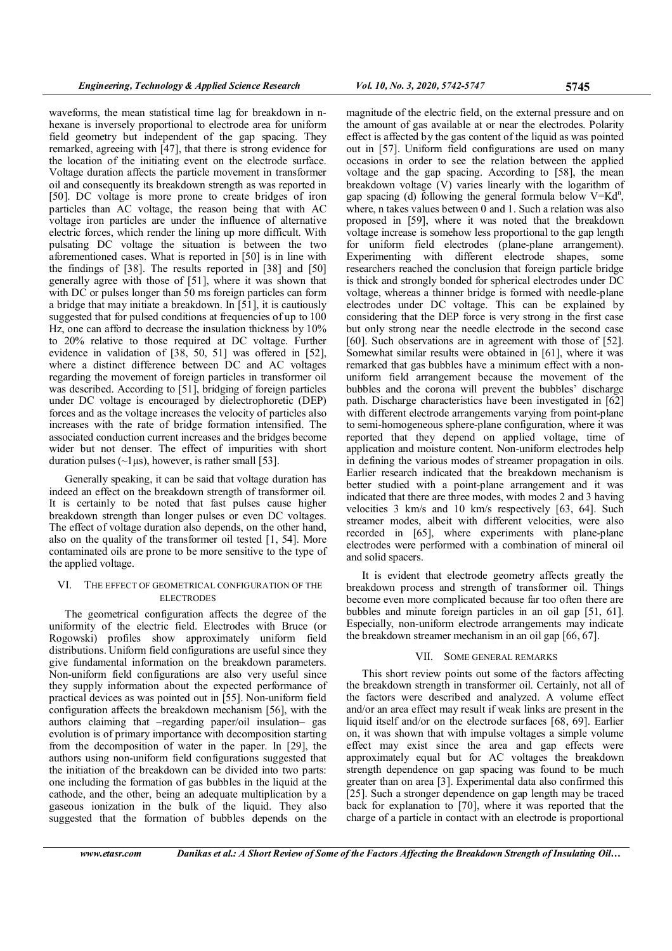waveforms, the mean statistical time lag for breakdown in nhexane is inversely proportional to electrode area for uniform field geometry but independent of the gap spacing. They remarked, agreeing with [47], that there is strong evidence for the location of the initiating event on the electrode surface. Voltage duration affects the particle movement in transformer oil and consequently its breakdown strength as was reported in [50]. DC voltage is more prone to create bridges of iron particles than AC voltage, the reason being that with AC voltage iron particles are under the influence of alternative electric forces, which render the lining up more difficult. With pulsating DC voltage the situation is between the two aforementioned cases. What is reported in [50] is in line with the findings of [38]. The results reported in [38] and [50] generally agree with those of [51], where it was shown that with DC or pulses longer than 50 ms foreign particles can form a bridge that may initiate a breakdown. In [51], it is cautiously suggested that for pulsed conditions at frequencies of up to 100 Hz, one can afford to decrease the insulation thickness by 10% to 20% relative to those required at DC voltage. Further evidence in validation of [38, 50, 51] was offered in [52], where a distinct difference between DC and AC voltages regarding the movement of foreign particles in transformer oil was described. According to [51], bridging of foreign particles under DC voltage is encouraged by dielectrophoretic (DEP) forces and as the voltage increases the velocity of particles also increases with the rate of bridge formation intensified. The associated conduction current increases and the bridges become wider but not denser. The effect of impurities with short duration pulses ( $\sim$ 1µs), however, is rather small [53].

Generally speaking, it can be said that voltage duration has indeed an effect on the breakdown strength of transformer oil. It is certainly to be noted that fast pulses cause higher breakdown strength than longer pulses or even DC voltages. The effect of voltage duration also depends, on the other hand, also on the quality of the transformer oil tested [1, 54]. More contaminated oils are prone to be more sensitive to the type of the applied voltage.

## VI. THE EFFECT OF GEOMETRICAL CONFIGURATION OF THE **ELECTRODES**

The geometrical configuration affects the degree of the uniformity of the electric field. Electrodes with Bruce (or Rogowski) profiles show approximately uniform field distributions. Uniform field configurations are useful since they give fundamental information on the breakdown parameters. Non-uniform field configurations are also very useful since they supply information about the expected performance of practical devices as was pointed out in [55]. Non-uniform field configuration affects the breakdown mechanism [56], with the authors claiming that –regarding paper/oil insulation– gas evolution is of primary importance with decomposition starting from the decomposition of water in the paper. In [29], the authors using non-uniform field configurations suggested that the initiation of the breakdown can be divided into two parts: one including the formation of gas bubbles in the liquid at the cathode, and the other, being an adequate multiplication by a gaseous ionization in the bulk of the liquid. They also suggested that the formation of bubbles depends on the

magnitude of the electric field, on the external pressure and on the amount of gas available at or near the electrodes. Polarity effect is affected by the gas content of the liquid as was pointed out in [57]. Uniform field configurations are used on many occasions in order to see the relation between the applied voltage and the gap spacing. According to [58], the mean breakdown voltage (V) varies linearly with the logarithm of gap spacing (d) following the general formula below  $V=Kd^n$ , where, n takes values between 0 and 1. Such a relation was also proposed in [59], where it was noted that the breakdown voltage increase is somehow less proportional to the gap length for uniform field electrodes (plane-plane arrangement). Experimenting with different electrode shapes, some researchers reached the conclusion that foreign particle bridge is thick and strongly bonded for spherical electrodes under DC voltage, whereas a thinner bridge is formed with needle-plane electrodes under DC voltage. This can be explained by considering that the DEP force is very strong in the first case but only strong near the needle electrode in the second case [60]. Such observations are in agreement with those of [52]. Somewhat similar results were obtained in [61], where it was remarked that gas bubbles have a minimum effect with a nonuniform field arrangement because the movement of the bubbles and the corona will prevent the bubbles' discharge path. Discharge characteristics have been investigated in [62] with different electrode arrangements varying from point-plane to semi-homogeneous sphere-plane configuration, where it was reported that they depend on applied voltage, time of application and moisture content. Non-uniform electrodes help in defining the various modes of streamer propagation in oils. Earlier research indicated that the breakdown mechanism is better studied with a point-plane arrangement and it was indicated that there are three modes, with modes 2 and 3 having velocities 3 km/s and 10 km/s respectively [63, 64]. Such streamer modes, albeit with different velocities, were also recorded in [65], where experiments with plane-plane electrodes were performed with a combination of mineral oil and solid spacers.

It is evident that electrode geometry affects greatly the breakdown process and strength of transformer oil. Things become even more complicated because far too often there are bubbles and minute foreign particles in an oil gap [51, 61]. Especially, non-uniform electrode arrangements may indicate the breakdown streamer mechanism in an oil gap [66, 67].

## VII. SOME GENERAL REMARKS

This short review points out some of the factors affecting the breakdown strength in transformer oil. Certainly, not all of the factors were described and analyzed. A volume effect and/or an area effect may result if weak links are present in the liquid itself and/or on the electrode surfaces [68, 69]. Earlier on, it was shown that with impulse voltages a simple volume effect may exist since the area and gap effects were approximately equal but for AC voltages the breakdown strength dependence on gap spacing was found to be much greater than on area [3]. Experimental data also confirmed this [25]. Such a stronger dependence on gap length may be traced back for explanation to [70], where it was reported that the charge of a particle in contact with an electrode is proportional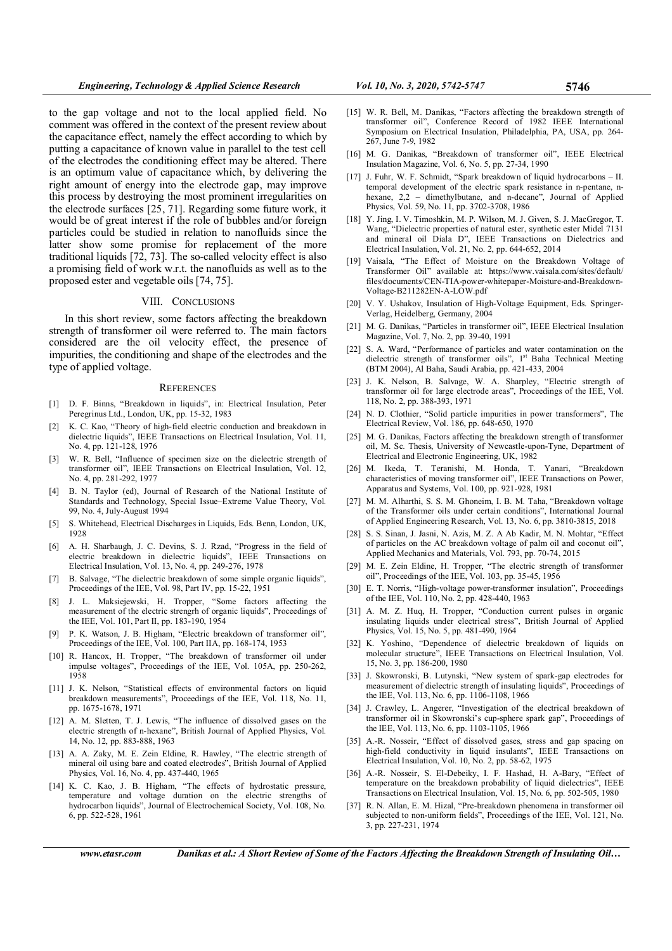to the gap voltage and not to the local applied field. No comment was offered in the context of the present review about the capacitance effect, namely the effect according to which by putting a capacitance of known value in parallel to the test cell of the electrodes the conditioning effect may be altered. There is an optimum value of capacitance which, by delivering the right amount of energy into the electrode gap, may improve this process by destroying the most prominent irregularities on the electrode surfaces [25, 71]. Regarding some future work, it would be of great interest if the role of bubbles and/or foreign particles could be studied in relation to nanofluids since the latter show some promise for replacement of the more traditional liquids [72, 73]. The so-called velocity effect is also a promising field of work w.r.t. the nanofluids as well as to the proposed ester and vegetable oils [74, 75].

## VIII. CONCLUSIONS

In this short review, some factors affecting the breakdown strength of transformer oil were referred to. The main factors considered are the oil velocity effect, the presence of impurities, the conditioning and shape of the electrodes and the type of applied voltage.

#### **REFERENCES**

- [1] D. F. Binns, "Breakdown in liquids", in: Electrical Insulation, Peter Peregrinus Ltd., London, UK, pp. 15-32, 1983
- [2] K. C. Kao, "Theory of high-field electric conduction and breakdown in dielectric liquids", IEEE Transactions on Electrical Insulation, Vol. 11, No. 4, pp. 121-128, 1976
- [3] W. R. Bell, "Influence of specimen size on the dielectric strength of transformer oil", IEEE Transactions on Electrical Insulation, Vol. 12, No. 4, pp. 281-292, 1977
- [4] B. N. Taylor (ed), Journal of Research of the National Institute of Standards and Technology, Special Issue–Extreme Value Theory, Vol. 99, No. 4, July-August 1994
- [5] S. Whitehead, Electrical Discharges in Liquids, Eds. Benn, London, UK, 1928
- [6] A. H. Sharbaugh, J. C. Devins, S. J. Rzad, "Progress in the field of electric breakdown in dielectric liquids", IEEE Transactions on Electrical Insulation, Vol. 13, No. 4, pp. 249-276, 1978
- [7] B. Salvage, "The dielectric breakdown of some simple organic liquids", Proceedings of the IEE, Vol. 98, Part IV, pp. 15-22, 1951
- [8] J. L. Maksiejewski, H. Tropper, "Some factors affecting the measurement of the electric strengrh of organic liquids", Proceedings of the IEE, Vol. 101, Part II, pp. 183-190, 1954
- [9] P. K. Watson, J. B. Higham, "Electric breakdown of transformer oil", Proceedings of the IEE, Vol. 100, Part IIA, pp. 168-174, 1953
- [10] R. Hancox, H. Tropper, "The breakdown of transformer oil under impulse voltages", Proceedings of the IEE, Vol. 105A, pp. 250-262, 1958
- [11] J. K. Nelson, "Statistical effects of environmental factors on liquid breakdown measurements", Proceedings of the IEE, Vol. 118, No. 11, pp. 1675-1678, 1971
- [12] A. M. Sletten, T. J. Lewis, "The influence of dissolved gases on the electric strength of n-hexane", British Journal of Applied Physics, Vol. 14, No. 12, pp. 883-888, 1963
- [13] A. A. Zaky, M. E. Zein Eldine, R. Hawley, "The electric strength of mineral oil using bare and coated electrodes", British Journal of Applied Physics, Vol. 16, No. 4, pp. 437-440, 1965
- [14] K. C. Kao, J. B. Higham, "The effects of hydrostatic pressure, temperature and voltage duration on the electric strengths of hydrocarbon liquids", Journal of Electrochemical Society, Vol. 108, No. 6, pp. 522-528, 1961
- [15] W. R. Bell, M. Danikas, "Factors affecting the breakdown strength of transformer oil", Conference Record of 1982 IEEE International Symposium on Electrical Insulation, Philadelphia, PA, USA, pp. 264- 267, June 7-9, 1982
- [16] M. G. Danikas, "Breakdown of transformer oil", IEEE Electrical Insulation Magazine, Vol. 6, No. 5, pp. 27-34, 1990
- [17] J. Fuhr, W. F. Schmidt, "Spark breakdown of liquid hydrocarbons II. temporal development of the electric spark resistance in n-pentane, nhexane, 2,2 – dimethylbutane, and n-decane", Journal of Applied Physics, Vol. 59, No. 11, pp. 3702-3708, 1986
- [18] Y. Jing, I. V. Timoshkin, M. P. Wilson, M. J. Given, S. J. MacGregor, T. Wang, "Dielectric properties of natural ester, synthetic ester Midel 7131 and mineral oil Diala D", IEEE Transactions on Dielectrics and Electrical Insulation, Vol. 21, No. 2, pp. 644-652, 2014
- [19] Vaisala, "The Effect of Moisture on the Breakdown Voltage of Transformer Oil" available at: https://www.vaisala.com/sites/default/ files/documents/CEN-TIA-power-whitepaper-Moisture-and-Breakdown-Voltage-B211282EN-A-LOW.pdf
- [20] V. Y. Ushakov, Insulation of High-Voltage Equipment, Eds. Springer-Verlag, Heidelberg, Germany, 2004
- [21] M. G. Danikas, "Particles in transformer oil", IEEE Electrical Insulation Magazine, Vol. 7, No. 2, pp. 39-40, 1991
- [22] S. A. Ward, "Performance of particles and water contamination on the dielectric strength of transformer oils", 1st Baha Technical Meeting (BTM 2004), Al Baha, Saudi Arabia, pp. 421-433, 2004
- [23] J. K. Nelson, B. Salvage, W. A. Sharpley, "Electric strength of transformer oil for large electrode areas", Proceedings of the IEE, Vol. 118, No. 2, pp. 388-393, 1971
- [24] N. D. Clothier, "Solid particle impurities in power transformers", The Electrical Review, Vol. 186, pp. 648-650, 1970
- [25] M. G. Danikas, Factors affecting the breakdown strength of transformer oil, M. Sc. Thesis, University of Newcastle-upon-Tyne, Department of Electrical and Electronic Engineering, UK, 1982
- [26] M. Ikeda, T. Teranishi, M. Honda, T. Yanari, "Breakdown characteristics of moving transformer oil", IEEE Transactions on Power, Apparatus and Systems, Vol. 100, pp. 921-928, 1981
- [27] M. M. Alharthi, S. S. M. Ghoneim, I. B. M. Taha, "Breakdown voltage of the Transformer oils under certain conditions", International Journal of Applied Engineering Research, Vol. 13, No. 6, pp. 3810-3815, 2018
- [28] S. S. Sinan, J. Jasni, N. Azis, M. Z. A Ab Kadir, M. N. Mohtar, "Effect of particles on the AC breakdown voltage of palm oil and coconut oil", Applied Mechanics and Materials, Vol. 793, pp. 70-74, 2015
- [29] M. E. Zein Eldine, H. Tropper, "The electric strength of transformer oil", Proceedings of the IEE, Vol. 103, pp. 35-45, 1956
- [30] E. T. Norris, "High-voltage power-transformer insulation", Proceedings of the IEE, Vol. 110, No. 2, pp. 428-440, 1963
- [31] A. M. Z. Huq, H. Tropper, "Conduction current pulses in organic insulating liquids under electrical stress", British Journal of Applied Physics, Vol. 15, No. 5, pp. 481-490, 1964
- [32] K. Yoshino, "Dependence of dielectric breakdown of liquids on molecular structure", IEEE Transactions on Electrical Insulation, Vol. 15, No. 3, pp. 186-200, 1980
- [33] J. Skowronski, B. Lutynski, "New system of spark-gap electrodes for measurement of dielectric strength of insulating liquids", Proceedings of the IEE, Vol. 113, No. 6, pp. 1106-1108, 1966
- [34] J. Crawley, L. Angerer, "Investigation of the electrical breakdown of transformer oil in Skowronski's cup-sphere spark gap", Proceedings of the IEE, Vol. 113, No. 6, pp. 1103-1105, 1966
- [35] A.-R. Nosseir, "Effect of dissolved gases, stress and gap spacing on high-field conductivity in liquid insulants", IEEE Transactions on Electrical Insulation, Vol. 10, No. 2, pp. 58-62, 1975
- [36] A.-R. Nosseir, S. El-Debeiky, I. F. Hashad, H. A-Bary, "Effect of temperature on the breakdown probability of liquid dielectrics", IEEE Transactions on Electrical Insulation, Vol. 15, No. 6, pp. 502-505, 1980
- [37] R. N. Allan, E. M. Hizal, "Pre-breakdown phenomena in transformer oil subjected to non-uniform fields", Proceedings of the IEE, Vol. 121, No. 3, pp. 227-231, 1974

www.etasr.com Danikas et al.: A Short Review of Some of the Factors Affecting the Breakdown Strength of Insulating Oil...